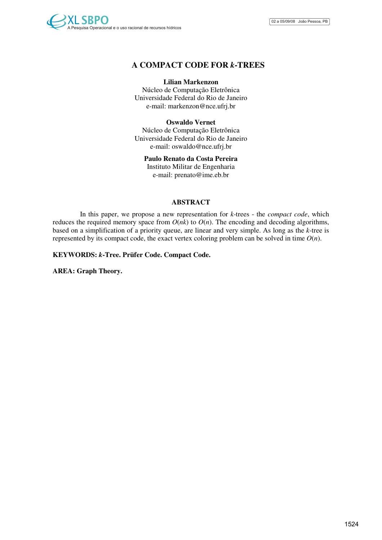

# **A COMPACT CODE FOR** *k***-TREES**

### **Lilian Markenzon**

Núcleo de Computação Eletrônica Universidade Federal do Rio de Janeiro e-mail: markenzon@nce.ufrj.br

### **Oswaldo Vernet**

Núcleo de Computação Eletrônica Universidade Federal do Rio de Janeiro e-mail: oswaldo@nce.ufrj.br

### **Paulo Renato da Costa Pereira**

Instituto Militar de Engenharia e-mail: prenato@ime.eb.br

### **ABSTRACT**

In this paper, we propose a new representation for *k*-trees - the *compact code*, which reduces the required memory space from  $O(nk)$  to  $O(n)$ . The encoding and decoding algorithms, based on a simplification of a priority queue, are linear and very simple. As long as the *k*-tree is represented by its compact code, the exact vertex coloring problem can be solved in time  $O(n)$ .

### **KEYWORDS:** *k***-Tree. Prüfer Code. Compact Code.**

**AREA: Graph Theory.**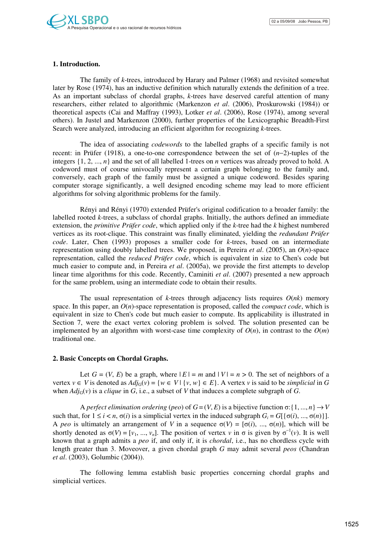# **1. Introduction.**

The family of *k*-trees, introduced by Harary and Palmer (1968) and revisited somewhat later by Rose (1974), has an inductive definition which naturally extends the definition of a tree. As an important subclass of chordal graphs, *k*-trees have deserved careful attention of many researchers, either related to algorithmic (Markenzon *et al*. (2006), Proskurowski (1984)) or theoretical aspects (Cai and Maffray (1993), Lotker *et al*. (2006), Rose (1974), among several others). In Justel and Markenzon (2000), further properties of the Lexicographic Breadth-First Search were analyzed, introducing an efficient algorithm for recognizing *k*-trees.

The idea of associating *codewords* to the labelled graphs of a specific family is not recent: in Prüfer (1918), a one-to-one correspondence between the set of (*n*−2)-tuples of the integers  $\{1, 2, ..., n\}$  and the set of all labelled 1-trees on *n* vertices was already proved to hold. A codeword must of course univocally represent a certain graph belonging to the family and, conversely, each graph of the family must be assigned a unique codeword. Besides sparing computer storage significantly, a well designed encoding scheme may lead to more efficient algorithms for solving algorithmic problems for the family.

Rényi and Rényi (1970) extended Prüfer's original codification to a broader family: the labelled rooted *k*-trees, a subclass of chordal graphs. Initially, the authors defined an immediate extension, the *primitive Prüfer code*, which applied only if the *k*-tree had the *k* highest numbered vertices as its root-clique. This constraint was finally eliminated, yielding the *redundant Prüfer code*. Later, Chen (1993) proposes a smaller code for *k*-trees, based on an intermediate representation using doubly labelled trees. We proposed, in Pereira *et al*. (2005), an *O*(*n*)-space representation, called the *reduced Prüfer code*, which is equivalent in size to Chen's code but much easier to compute and, in Pereira *et al*. (2005a), we provide the first attempts to develop linear time algorithms for this code. Recently, Caminiti *et al*. (2007) presented a new approach for the same problem, using an intermediate code to obtain their results.

The usual representation of *k*-trees through adjacency lists requires  $O(nk)$  memory space. In this paper, an *O*(*n*)-space representation is proposed, called the *compact code*, which is equivalent in size to Chen's code but much easier to compute. Its applicability is illustrated in Section 7, were the exact vertex coloring problem is solved. The solution presented can be implemented by an algorithm with worst-case time complexity of  $O(n)$ , in contrast to the  $O(m)$ traditional one.

# **2. Basic Concepts on Chordal Graphs.**

Let  $G = (V, E)$  be a graph, where  $|E| = m$  and  $|V| = n > 0$ . The set of neighbors of a vertex  $v \in V$  is denoted as  $Adj_G(v) = \{w \in V \mid \{v, w\} \in E\}$ . A vertex *v* is said to be *simplicial* in *G* when  $Adj_G(v)$  is a *clique* in *G*, i.e., a subset of *V* that induces a complete subgraph of *G*.

A *perfect elimination ordering* (*peo*) of  $G = (V, E)$  is a bijective function  $\sigma: \{1, ..., n\} \rightarrow V$ such that, for  $1 \le i < n$ ,  $\sigma(i)$  is a simplicial vertex in the induced subgraph  $G_i = G[\{\sigma(i), ..., \sigma(n)\}].$ A *peo* is ultimately an arrangement of *V* in a sequence  $\sigma(V) = [\sigma(i), ..., \sigma(n)]$ , which will be shortly denoted as  $\sigma(V) = [v_1, ..., v_n]$ . The position of vertex *v* in  $\sigma$  is given by  $\sigma^{-1}(v)$ . It is well known that a graph admits a *peo* if, and only if, it is *chordal*, i.e., has no chordless cycle with length greater than 3. Moveover, a given chordal graph *G* may admit several *peos* (Chandran *et al*. (2003), Golumbic (2004)).

The following lemma establish basic properties concerning chordal graphs and simplicial vertices.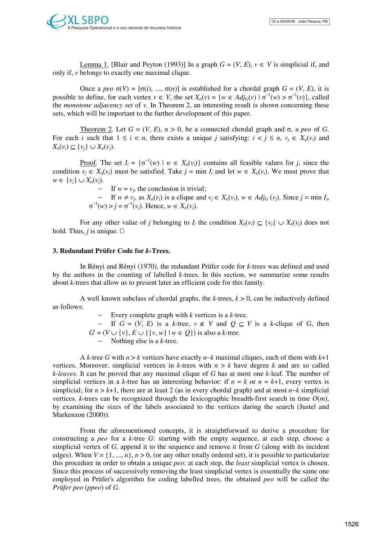Lemma 1. [Blair and Peyton (1993)] In a graph  $G = (V, E)$ ,  $v \in V$  is simplicial if, and only if, *v* belongs to exactly one maximal clique.

Once a *peo*  $σ(V) = [σ(i), ..., σ(n)]$  is established for a chordal graph  $G = (V, E)$ , it is possible to define, for each vertex  $v \in V$ , the set  $X_{\sigma}(v) = \{w \in Adj_{G}(v) \mid \sigma^{-1}(w) > \sigma^{-1}(v)\}$ , called the *monotone adjacency set* of *v*. In Theorem 2, an interesting result is shown concerning these sets, which will be important to the further development of this paper.

Theorem 2. Let *G* = (*V*, *E*), *n* > 0, be a connected chordal graph and σ, a *peo* of *G*. For each *i* such that  $1 \le i \le n$ , there exists a unique *j* satisfying:  $i \le j \le n$ ,  $v_i \in X_{\sigma}(v_i)$  and  $X<sub>σ</sub>(v<sub>i</sub>) ⊆ {v<sub>i</sub>} ∪ X<sub>σ</sub>(v<sub>i</sub>).$ 

Proof. The set  $I_i = \{\sigma^{-1}(w) \mid w \in X_{\sigma}(v_i)\}\)$  contains all feasible values for *j*, since the condition  $v_j \in X_{\sigma}(v_i)$  must be satisfied. Take  $j = \min I_i$  and let  $w \in X_{\sigma}(v_i)$ . We must prove that *w* ∈  $\{v_i\}$  ∪  $X_{\sigma}(v_i)$ .

 $-$  If  $w = v_j$ , the conclusion is trivial;

 $-$  If *w* ≠ *v<sub>j</sub>*, as *X*<sub>σ</sub>(*v<sub>i</sub>*) is a clique and *v<sub>j</sub>* ∈ *X*<sub>σ</sub>(*v<sub>i</sub>*), *w* ∈ *Adj*<sub>G</sub> (*v<sub>j</sub>*). Since *j* = min *I<sub>i</sub>*,  $\sigma^{-1}(w) > j = \sigma^{-1}(v_j)$ . Hence,  $w \in X_{\sigma}(v_j)$ .

For any other value of *j* belonging to *I<sub>i</sub>* the condition  $X_{\sigma}(v_i) \subseteq \{v_j\} \cup X_{\sigma}(v_j)$  does not hold. Thus, *j* is unique.

### **3. Redundant Prüfer Code for** *k***-Trees.**

In Rényi and Rényi (1970), the redundant Prüfer code for *k*-trees was defined and used by the authors in the counting of labelled *k*-trees. In this section, we summarize some results about *k*-trees that allow us to present later an efficient code for this family.

A well known subclass of chordal graphs, the *k*-trees, *k* > 0, can be inductively defined as follows:

− Every complete graph with *k* vertices is a *k*-tree.

− If  $G = (V, E)$  is a *k*-tree,  $v \notin V$  and  $Q \subseteq V$  is a *k*-clique of *G*, then *G*' = (*V* ∪ {*v*}, *E* ∪ {{*v*, *w*} | *w* ∈ *Q*}) is also a *k*-tree.

− Nothing else is a *k*-tree.

A *k*-tree *G* with *n* > *k* vertices have exactly *n*−*k* maximal cliques, each of them with *k*+1 vertices. Moreover, simplicial vertices in *k*-trees with  $n > k$  have degree *k* and are so called *k*-*leaves*. It can be proved that any maximal clique of *G* has at most one *k*-leaf. The number of simplicial vertices in a *k*-tree has an interesting behavior: if  $n = k$  or  $n = k+1$ , every vertex is simplicial; for *n* > *k*+1, there are at least 2 (as in every chordal graph) and at most *n*−*k* simplicial vertices. *k*-trees can be recognized through the lexicographic breadth-first search in time  $O(m)$ , by examining the sizes of the labels associated to the vertices during the search (Justel and Markenzon (2000)).

From the aforementioned concepts, it is straightforward to derive a procedure for constructing a *peo* for a *k*-tree *G*: starting with the empty sequence, at each step, choose a simplicial vertex of *G*, append it to the sequence and remove it from *G* (along with its incident edges). When  $V = \{1, ..., n\}, n > 0$ , (or any other totally ordered set), it is possible to particularize this procedure in order to obtain a unique *peo*: at each step, the *least* simplicial vertex is chosen. Since this process of successively removing the least simplicial vertex is essentially the same one employed in Prüfer's algorithm for coding labelled trees, the obtained *peo* will be called the *Prüfer peo* (*ppeo*) of *G*.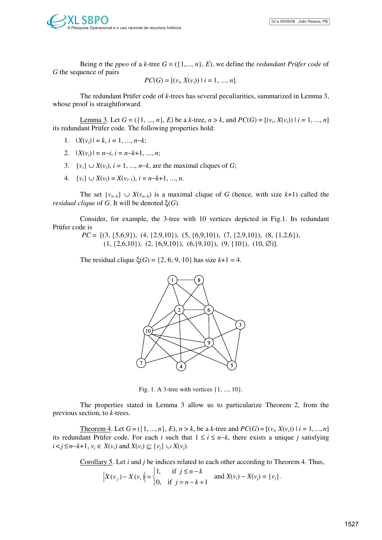Being  $\sigma$  the *ppeo* of a *k*-tree  $G = (\{1, ..., n\}, E)$ , we define the *redundant Prüfer code* of *G* the sequence of pairs

$$
PC(G) = [(v_i, X(v_i)) | i = 1, ..., n].
$$

The redundant Prüfer code of *k*-trees has several peculiarities, summarized in Lemma 3, whose proof is straightforward.

Lemma 3. Let  $G = (\{1, ..., n\}, E)$  be a *k*-tree,  $n > k$ , and  $PC(G) = [(v_i, X(v_i)) | i = 1, ..., n]$ its redundant Prüfer code. The following properties hold:

- 1.  $|X(v_i)| = k, i = 1, ..., n-k;$
- 2.  $|X(v_i)| = n-i, i = n-k+1, ..., n;$
- 3.  $\{v_i\} \cup X(v_i)$ ,  $i = 1, ..., n-k$ , are the maximal cliques of *G*;
- 4. {*v<sub>i</sub>*}  $\cup X(v_i) = X(v_{i-1}), i = n-k+1, ..., n.$

The set  $\{v_{n-k}\}\cup X(v_{n-k})$  is a maximal clique of *G* (hence, with size *k*+1) called the *residual clique* of *G*. It will be denoted ξ(*G*).

Consider, for example, the 3-tree with 10 vertices depicted in Fig.1. Its redundant Prüfer code is

*PC* = [(3, {5,6,9}), (4, {2,9,10}), (5, {6,9,10}), (7, {2,9,10}), (8, {1,2,6}),  $(1, \{2,6,10\}), (2, \{6,9,10\}), (6, \{9,10\}), (9, \{10\}), (10, \emptyset)].$ 

The residual clique  $\xi(G) = \{2, 6, 9, 10\}$  has size  $k+1 = 4$ .



Fig. 1. A 3-tree with vertices  $\{1, ..., 10\}$ .

The properties stated in Lemma 3 allow us to particularize Theorem 2, from the previous section, to *k*-trees.

Theorem 4. Let  $G = (\{1, ..., n\}, E)$ ,  $n > k$ , be a *k*-tree and  $PC(G) = [(v_i, X(v_i)) | i = 1, ..., n]$ its redundant Prüfer code. For each *i* such that  $1 \le i \le n-k$ , there exists a unique *j* satisfying *i* < *j* ≤ *n*−*k*+1, *v<sub>i</sub>* ∈ *X*(*v<sub>i</sub>*) and *X*(*v<sub>i</sub>*) ⊆ {*v<sub>i</sub>*} ∪ *X*(*v<sub>i</sub>*).

Corollary 5. Let *i* and *j* be indices related to each other according to Theorem 4. Thus,

$$
|X(v_j) - X(v_i)| =
$$

$$
\begin{cases} 1, & \text{if } j \le n - k \\ 0, & \text{if } j = n - k + 1 \end{cases} \text{ and } X(v_i) - X(v_j) = \{v_j\}.
$$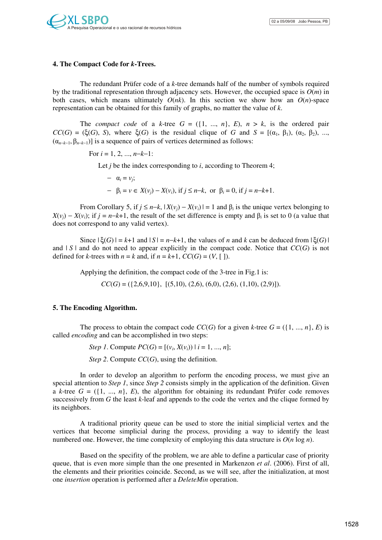### **4. The Compact Code for** *k***-Trees.**

The redundant Prüfer code of a *k*-tree demands half of the number of symbols required by the traditional representation through adjacency sets. However, the occupied space is  $O(m)$  in both cases, which means ultimately  $O(nk)$ . In this section we show how an  $O(n)$ -space representation can be obtained for this family of graphs, no matter the value of *k*.

The *compact code* of a *k*-tree  $G = (\{1, ..., n\}, E), n > k$ , is the ordered pair  $CC(G) = (\xi(G), S)$ , where  $\xi(G)$  is the residual clique of *G* and  $S = [(\alpha_1, \beta_1), (\alpha_2, \beta_2), ...,$  $(\alpha_{n-k-1}, \beta_{n-k-1})$ ] is a sequence of pairs of vertices determined as follows:

For 
$$
i = 1, 2, ..., n-k-1
$$
:

Let *j* be the index corresponding to *i*, according to Theorem 4;

$$
- \alpha_i = v_j;
$$
  
-  $\beta_i = v \in X(v_j) - X(v_i)$ , if  $j \le n-k$ , or  $\beta_i = 0$ , if  $j = n-k+1$ .

From Corollary 5, if  $j \le n-k$ ,  $|X(v_j) - X(v_i)| = 1$  and  $\beta_i$  is the unique vertex belonging to  $X(v_j) - X(v_i)$ ; if  $j = n-k+1$ , the result of the set difference is empty and  $\beta_i$  is set to 0 (a value that does not correspond to any valid vertex).

Since  $|\xi(G)| = k+1$  and  $|S| = n-k+1$ , the values of *n* and *k* can be deduced from  $|\xi(G)|$ and  $|S|$  and do not need to appear explicitly in the compact code. Notice that  $CC(G)$  is not defined for *k*-trees with  $n = k$  and, if  $n = k+1$ ,  $CC(G) = (V, \lceil \rceil)$ .

Applying the definition, the compact code of the 3-tree in Fig.1 is:

 $CC(G) = (\{2,6,9,10\}, \, [(5,10), (2,6), (6,0), (2,6), (1,10), (2,9)]).$ 

#### **5. The Encoding Algorithm.**

The process to obtain the compact code  $CC(G)$  for a given *k*-tree  $G = (\{1, ..., n\}, E)$  is called *encoding* and can be accomplished in two steps:

*Step 1*. Compute  $PC(G) = [(v_i, X(v_i)) | i = 1, ..., n];$ 

*Step 2*. Compute *CC*(*G*), using the definition.

In order to develop an algorithm to perform the encoding process, we must give an special attention to *Step 1*, since *Step 2* consists simply in the application of the definition. Given a *k*-tree  $G = (\{1, ..., n\}, E)$ , the algorithm for obtaining its redundant Prüfer code removes successively from *G* the least *k*-leaf and appends to the code the vertex and the clique formed by its neighbors.

A traditional priority queue can be used to store the initial simplicial vertex and the vertices that become simplicial during the process, providing a way to identify the least numbered one. However, the time complexity of employing this data structure is  $O(n \log n)$ .

Based on the specifity of the problem, we are able to define a particular case of priority queue, that is even more simple than the one presented in Markenzon *et al*. (2006). First of all, the elements and their priorities coincide. Second, as we will see, after the initialization, at most one *insertion* operation is performed after a *DeleteMin* operation.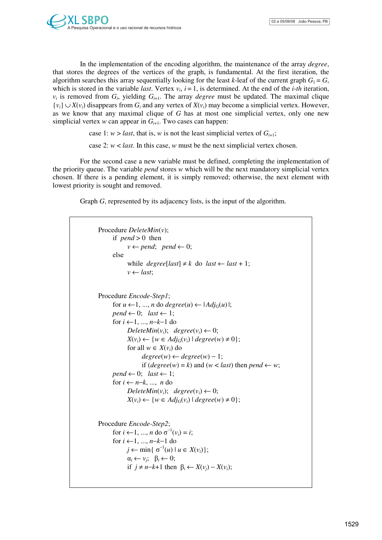In the implementation of the encoding algorithm, the maintenance of the array *degree*, that stores the degrees of the vertices of the graph, is fundamental. At the first iteration, the algorithm searches this array sequentially looking for the least *k*-leaf of the current graph  $G_1 = G$ , which is stored in the variable *last*. Vertex  $v_i$ ,  $i = 1$ , is determined. At the end of the *i-th* iteration,  $v_i$  is removed from  $G_i$ , yielding  $G_{i+1}$ . The array *degree* must be updated. The maximal clique  ${v_i} \cup X(v_i)$  disappears from  $G_i$  and any vertex of  $X(v_i)$  may become a simplicial vertex. However, as we know that any maximal clique of *G* has at most one simplicial vertex, only one new simplicial vertex  $w$  can appear in  $G_{i+1}$ . Two cases can happen:

case 1:  $w >$  *last*, that is, *w* is not the least simplicial vertex of  $G_{i+1}$ ;

case 2: *w* < *last*. In this case, *w* must be the next simplicial vertex chosen.

For the second case a new variable must be defined, completing the implementation of the priority queue. The variable *pend* stores *w* which will be the next mandatory simplicial vertex chosen. If there is a pending element, it is simply removed; otherwise, the next element with lowest priority is sought and removed.

Graph *G*, represented by its adjacency lists, is the input of the algorithm.

```
Procedure DeleteMin(v); 
      if pend > 0 then 
              v \leftarrow pend; \quad pend \leftarrow 0;else 
              while degree[last] \neq k do last \leftarrow last + 1;
              v \leftarrow last;
Procedure Encode-Step1; 
      for u \leftarrow 1, ..., n do degree(u) \leftarrow |Adj_G(u)|;
      pend \leftarrow 0; last \leftarrow 1;for i ←1, ..., n−k−1 do 
              DeleteMin(v_i); degree(v_i) \leftarrow 0;X(v_i) \leftarrow \{w \in Adj_G(v_i) \mid degree(w) \neq 0\};for all w \in X(v_i) do
                     degree(w) \leftarrow degree(w) - 1;if (degree(w) = k) and (w < last) then pend ← w; 
      pend \leftarrow 0; last \leftarrow 1;for i \leftarrow n-k, ..., n do
              DeleteMin(v_i); degree(v_i) \leftarrow 0;
              X(v_i) \leftarrow \{w \in Adj_G(v_i) \mid degree(w) \neq 0\};Procedure Encode-Step2; 
       for i \leftarrow 1, ..., n do \sigma^{-1}(v_i) = i;
      for i ←1, ..., n−k−1 do 
              j \leftarrow \min\{\sigma^{-1}(u) \mid u \in X(v_i)\};\alpha_i \leftarrow v_j; \quad \beta_i \leftarrow 0;if j ≠ n-k+1 then \beta_i ← X(v_i) - X(v_i);
```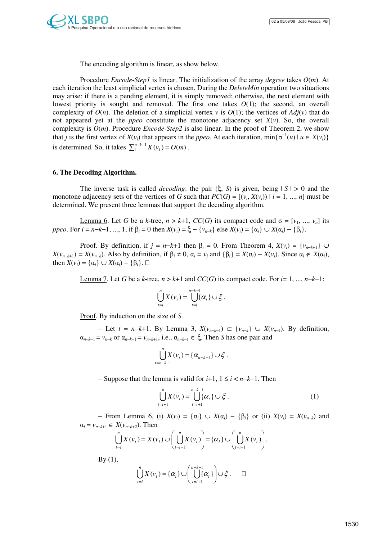The encoding algorithm is linear, as show below.

Procedure *Encode*-*Step1* is linear. The initialization of the array *degree* takes *O*(*m*). At each iteration the least simplicial vertex is chosen. During the *DeleteMin* operation two situations may arise: if there is a pending element, it is simply removed; otherwise, the next element with lowest priority is sought and removed. The first one takes *O*(1); the second, an overall complexity of  $O(n)$ . The deletion of a simplicial vertex *v* is  $O(1)$ ; the vertices of  $Adj(v)$  that do not appeared yet at the *ppeo* constitute the monotone adjacency set  $X(v)$ . So, the overall complexity is  $O(m)$ . Procedure *Encode-Step2* is also linear. In the proof of Theorem 2, we show that *j* is the first vertex of  $X(v_i)$  that appears in the *ppeo*. At each iteration,  $\min{\{\sigma^{-1}(u) | u \in X(v_i)\}}$ is determined. So, it takes  $\sum_{i=1}^{n-k-1} X(v_i) = O(m)$ .

### **6. The Decoding Algorithm.**

The inverse task is called *decoding*: the pair  $(\xi, S)$  is given, being  $|S| > 0$  and the monotone adjacency sets of the vertices of *G* such that  $PC(G) = [(v_i, X(v_i)) | i = 1, ..., n]$  must be determined. We present three lemmas that support the decoding algorithm.

Lemma 6. Let *G* be a *k*-tree, *n* > *k*+1, *CC*(*G*) its compact code and σ = [*v*<sub>1</sub>, ..., *v<sub>n</sub>*] its *ppeo*. For  $i = n-k-1, ..., 1$ , if  $\beta_i = 0$  then  $X(v_i) = \xi - \{v_{n-k}\}\)$  else  $X(v_i) = \{\alpha_i\} \cup X(\alpha_i) - \{\beta_i\}.$ 

Proof. By definition, if  $j = n-k+1$  then  $\beta_i = 0$ . From Theorem 4,  $X(v_i) = \{v_{n-k+1}\}\cup\{v_{n-k+1}\}\$  $X(v_{n-k+1}) = X(v_{n-k})$ . Also by definition, if  $\beta_i \neq 0$ ,  $\alpha_i = v_j$  and  $\{\beta_i\} = X(\alpha_i) - X(v_i)$ . Since  $\alpha_i \notin X(\alpha_i)$ , then  $X(v_i) = {\alpha_i} \cup X(\alpha_i) - {\beta_i}.$ 

Lemma 7. Let *G* be a *k*-tree,  $n > k+1$  and  $CC(G)$  its compact code. For  $i=1, ..., n-k-1$ :

$$
\bigcup_{t=i}^n X(v_t) = \bigcup_{t=i}^{n-k-1} \{\alpha_t\} \cup \xi.
$$

Proof. By induction on the size of *S*.

− Let *t* = *n*−*k*+1. By Lemma 3, *X*(*vn*−*k*−<sup>1</sup>) ⊂ {*vn*−*k*} ∪ *X*(*vn*−*k*). By definition,  $\alpha_{n-k-1} = v_{n-k}$  or  $\alpha_{n-k-1} = v_{n-k+1}$ , i.e.,  $\alpha_{n-k-1} \in \xi$ . Then *S* has one pair and

$$
\bigcup_{t=n-k-1}^{n} X(v_t) = \{ \alpha_{n-k-1} \} \cup \xi.
$$

− Suppose that the lemma is valid for *i*+1, 1 ≤ *i* < *n*−*k*−1. Then

$$
\bigcup_{t=i+1}^{n} X(v_t) = \bigcup_{t=i+1}^{n-k-1} {\{\alpha_t\}} \cup {\xi} . \tag{1}
$$

− From Lemma 6, (i) *X*(*vi*) = {α*i*} ∪ *X*(α*i*) − {β*i*} or (ii) *X*(*vi*) = *X*(*vn*−*k*) and  $\alpha_i = v_{n-k+1} \in X(v_{n-k+2})$ . Then

$$
\bigcup_{t=i}^{n} X(v_t) = X(v_i) \cup \left(\bigcup_{t=i+1}^{n} X(v_t)\right) = \{\alpha_i\} \cup \left(\bigcup_{t=i+1}^{n} X(v_t)\right).
$$

By  $(1)$ ,

$$
\bigcup_{t=i}^n X(v_t) = \{\alpha_i\} \cup \left(\bigcup_{t=i+1}^{n-k-1} {\{\alpha_i\}}\right) \cup \xi.
$$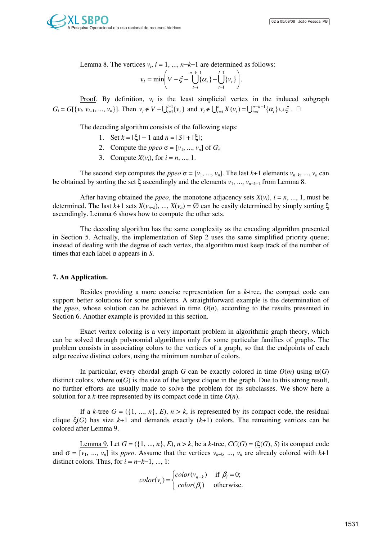Lemma 8. The vertices  $v_i$ ,  $i = 1, ..., n-k-1$  are determined as follows:

$$
v_i = \min \left( V - \xi - \bigcup_{t=i}^{n-k-1} {\{\alpha_t\}} - \bigcup_{t=1}^{i-1} {\{\nu_t\}} \right).
$$

**Proof.** By definition,  $v_i$  is the least simplicial vertex in the induced subgraph  $G_i = G[\{v_i, v_{i+1}, ..., v_n\}].$  Then  $v_i \notin V - \bigcup_{t=1}^{i-1} \{v_t\}$  and  $v_i \notin \bigcup_{t=i}^{n} X(v_t) = \bigcup_{t=i}^{n-k-1} \{\alpha_t\} \cup \xi$  $t = i$  $v_i \notin \bigcup_{t=i}^n X(v_t) = \bigcup_{t=i}^{n-k-1} {\{\alpha_t\}} \cup \xi$ .

The decoding algorithm consists of the following steps:

- 1. Set  $k = |\xi| 1$  and  $n = |S| + |\xi|$ ;
- 2. Compute the *ppeo*  $\sigma = [v_1, ..., v_n]$  of *G*;
- 3. Compute  $X(v_i)$ , for  $i = n, ..., 1$ .

The second step computes the *ppeo*  $\sigma = [v_1, ..., v_n]$ . The last *k*+1 elements  $v_{n-k}, ..., v_n$  can be obtained by sorting the set  $\xi$  ascendingly and the elements  $v_1, ..., v_{n-k-1}$  from Lemma 8.

After having obtained the *ppeo*, the monotone adjacency sets  $X(v_i)$ ,  $i = n, ..., 1$ , must be determined. The last *k*+1 sets *X*(*vn*−*k*), ..., *X*(*vn*) = ∅ can be easily determined by simply sorting ξ ascendingly. Lemma 6 shows how to compute the other sets.

The decoding algorithm has the same complexity as the encoding algorithm presented in Section 5. Actually, the implementation of Step 2 uses the same simplified priority queue; instead of dealing with the degree of each vertex, the algorithm must keep track of the number of times that each label α appears in *S*.

# **7. An Application.**

Besides providing a more concise representation for a *k*-tree, the compact code can support better solutions for some problems. A straightforward example is the determination of the *ppeo*, whose solution can be achieved in time  $O(n)$ , according to the results presented in Section 6. Another example is provided in this section.

Exact vertex coloring is a very important problem in algorithmic graph theory, which can be solved through polynomial algorithms only for some particular families of graphs. The problem consists in associating colors to the vertices of a graph, so that the endpoints of each edge receive distinct colors, using the minimum number of colors.

In particular, every chordal graph *G* can be exactly colored in time  $O(m)$  using  $\omega(G)$ distinct colors, where  $\omega(G)$  is the size of the largest clique in the graph. Due to this strong result, no further efforts are usually made to solve the problem for its subclasses. We show here a solution for a *k*-tree represented by its compact code in time  $O(n)$ .

If a *k*-tree  $G = (\{1, ..., n\}, E), n > k$ , is represented by its compact code, the residual clique  $\xi(G)$  has size  $k+1$  and demands exactly  $(k+1)$  colors. The remaining vertices can be colored after Lemma 9.

Lemma 9. Let  $G = (\{1, ..., n\}, E), n > k$ , be a *k*-tree,  $CC(G) = (\xi(G), S)$  its compact code and  $\sigma = [v_1, ..., v_n]$  its *ppeo*. Assume that the vertices  $v_{n-k}$ , ...,  $v_n$  are already colored with  $k+1$ distinct colors. Thus, for  $i = n-k-1, \ldots, 1$ :

$$
color(v_i) = \begin{cases} color(v_{n-k}) & \text{if } \beta_i = 0; \\ color(\beta_i) & \text{otherwise.} \end{cases}
$$